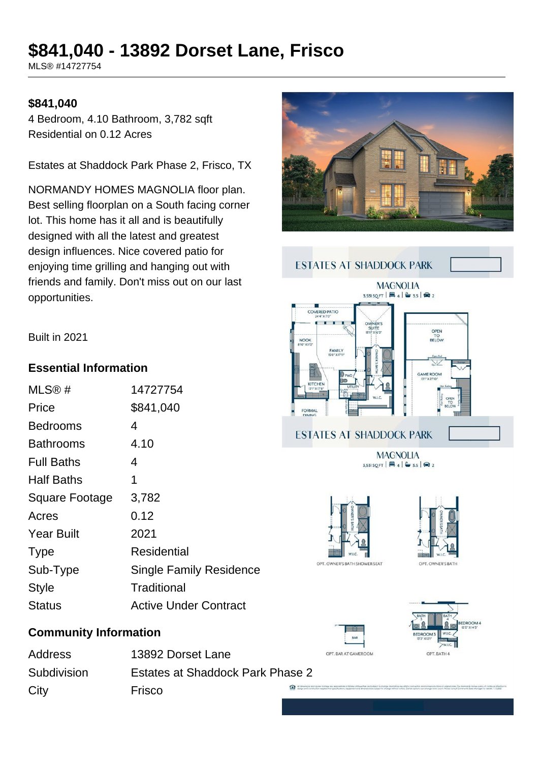# **\$841,040 - 13892 Dorset Lane, Frisco**

MLS® #14727754

#### **\$841,040**

4 Bedroom, 4.10 Bathroom, 3,782 sqft Residential on 0.12 Acres

Estates at Shaddock Park Phase 2, Frisco, TX

NORMANDY HOMES MAGNOLIA floor plan. Best selling floorplan on a South facing corner lot. This home has it all and is beautifully designed with all the latest and greatest design influences. Nice covered patio for enjoying time grilling and hanging out with friends and family. Don't miss out on our last opportunities.





Built in 2021

### **Essential Information**

| MLS@#             | 14727754                       |
|-------------------|--------------------------------|
| Price             | \$841,040                      |
| Bedrooms          | 4                              |
| Bathrooms         | 4.10                           |
| <b>Full Baths</b> | 4                              |
| <b>Half Baths</b> | 1                              |
| Square Footage    | 3,782                          |
| Acres             | 0.12                           |
| <b>Year Built</b> | 2021                           |
| <b>Type</b>       | Residential                    |
| Sub-Type          | <b>Single Family Residence</b> |
| <b>Style</b>      | Traditional                    |
| Status            | <b>Active Under Contract</b>   |
|                   |                                |

## **Community Information**

Address 13892 Dorset Lane Subdivision Estates at Shaddock Park Phase 2 City **Frisco**